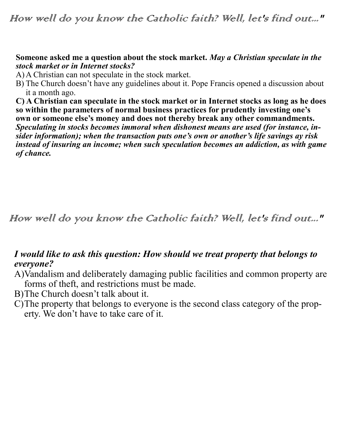#### **Someone asked me a question about the stock market.** *May a Christian speculate in the stock market or in Internet stocks?*

A) A Christian can not speculate in the stock market.

B) The Church doesn't have any guidelines about it. Pope Francis opened a discussion about it a month ago.

**C) A Christian can speculate in the stock market or in Internet stocks as long as he does so within the parameters of normal business practices for prudently investing one's own or someone else's money and does not thereby break any other commandments.** *Speculating in stocks becomes immoral when dishonest means are used (for instance, insider information); when the transaction puts one's own or another's life savings ay risk instead of insuring an income; when such speculation becomes an addiction, as with game of chance.* 

How well do you know the Catholic faith? Well, let's find out..."

## *I would like to ask this question: How should we treat property that belongs to everyone?*

- A)Vandalism and deliberately damaging public facilities and common property are forms of theft, and restrictions must be made.
- B)The Church doesn't talk about it.
- C)The property that belongs to everyone is the second class category of the property. We don't have to take care of it.